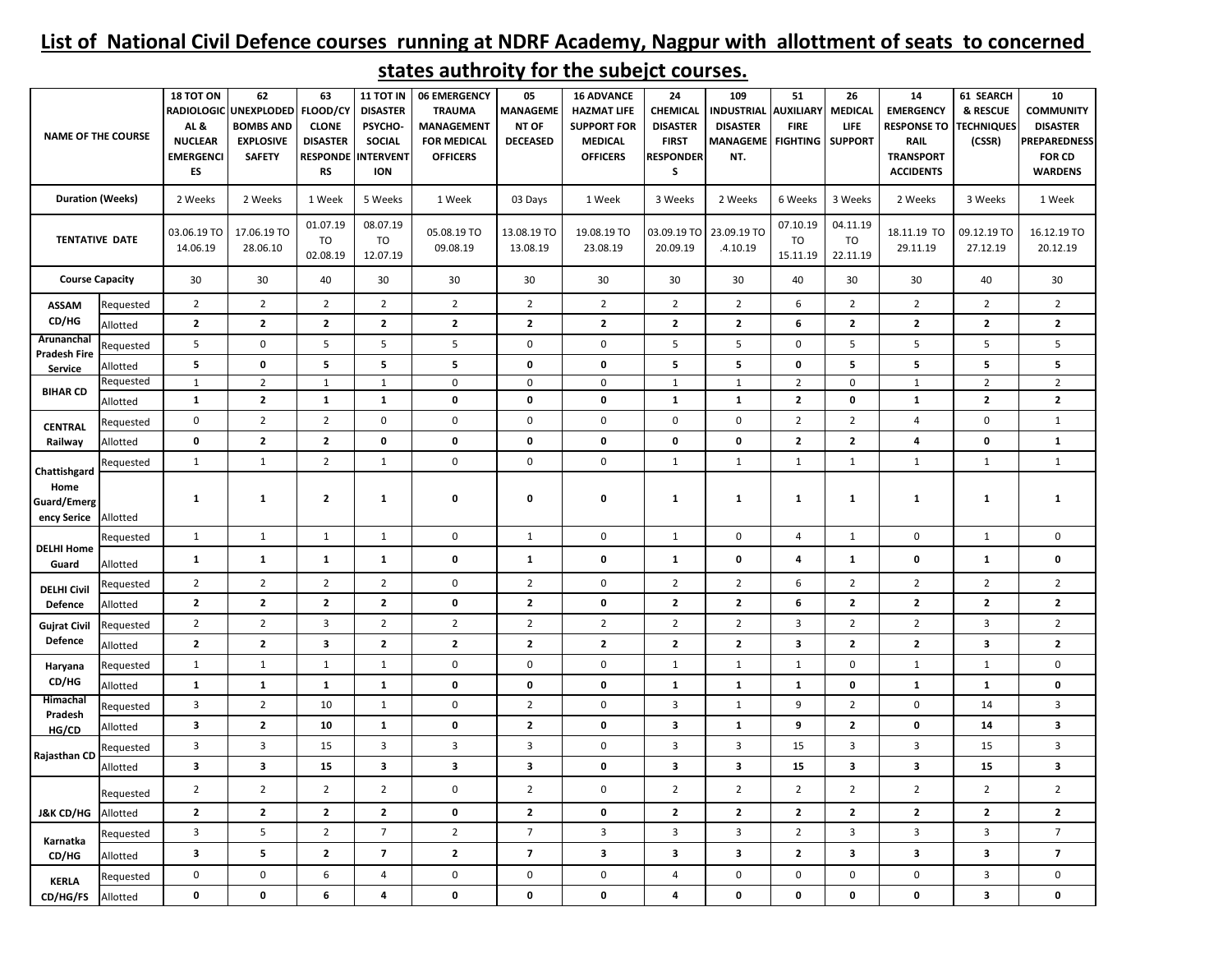## **List of National Civil Defence courses running at NDRF Academy, Nagpur with allottment of seats to concerned**

| <b>NAME OF THE COURSE</b>                          |           | 18 TOT ON<br>AL&<br><b>NUCLEAR</b><br><b>EMERGENCI</b><br>ES | 62<br>RADIOLOGIC UNEXPLODED<br><b>BOMBS AND</b><br><b>EXPLOSIVE</b><br><b>SAFETY</b> | 63<br>FLOOD/CY<br><b>CLONE</b><br><b>DISASTER</b><br><b>RS</b> | 11 TOT IN<br><b>DISASTER</b><br>PSYCHO-<br><b>SOCIAL</b><br><b>RESPONDE INTERVENT</b><br><b>ION</b> | 06 EMERGENCY<br><b>TRAUMA</b><br><b>MANAGEMENT</b><br><b>FOR MEDICAL</b><br><b>OFFICERS</b> | 05<br><b>MANAGEME</b><br>NT OF<br><b>DECEASED</b> | <b>16 ADVANCE</b><br><b>HAZMAT LIFE</b><br><b>SUPPORT FOR</b><br><b>MEDICAL</b><br><b>OFFICERS</b> | 24<br><b>CHEMICAL</b><br><b>DISASTER</b><br><b>FIRST</b><br><b>RESPONDER</b><br>S | 109<br><b>INDUSTRIAL</b><br><b>DISASTER</b><br><b>MANAGEME</b><br>NT. | 51<br><b>AUXILIARY</b><br><b>FIRE</b><br><b>FIGHTING SUPPORT</b> | 26<br>MEDICAL<br><b>LIFE</b> | 14<br><b>EMERGENCY</b><br><b>RESPONSE TO</b><br>RAIL<br><b>TRANSPORT</b><br><b>ACCIDENTS</b> | 61 SEARCH<br>& RESCUE<br><b><i>FECHNIQUES</i></b><br>(CSSR) | 10<br><b>COMMUNITY</b><br><b>DISASTER</b><br><b>PREPAREDNESS</b><br><b>FOR CD</b><br><b>WARDENS</b> |
|----------------------------------------------------|-----------|--------------------------------------------------------------|--------------------------------------------------------------------------------------|----------------------------------------------------------------|-----------------------------------------------------------------------------------------------------|---------------------------------------------------------------------------------------------|---------------------------------------------------|----------------------------------------------------------------------------------------------------|-----------------------------------------------------------------------------------|-----------------------------------------------------------------------|------------------------------------------------------------------|------------------------------|----------------------------------------------------------------------------------------------|-------------------------------------------------------------|-----------------------------------------------------------------------------------------------------|
| <b>Duration (Weeks)</b>                            |           | 2 Weeks                                                      | 2 Weeks                                                                              | 1 Week                                                         | 5 Weeks                                                                                             | 1 Week                                                                                      | 03 Days                                           | 1 Week                                                                                             | 3 Weeks                                                                           | 2 Weeks                                                               | 6 Weeks                                                          | 3 Weeks                      | 2 Weeks                                                                                      | 3 Weeks                                                     | 1 Week                                                                                              |
| <b>TENTATIVE DATE</b>                              |           | 03.06.19 TO<br>14.06.19                                      | 17.06.19 TO<br>28.06.10                                                              | 01.07.19<br>TO<br>02.08.19                                     | 08.07.19<br>TO<br>12.07.19                                                                          | 05.08.19 TO<br>09.08.19                                                                     | 13.08.19 TO<br>13.08.19                           | 19.08.19 TO<br>23.08.19                                                                            | 20.09.19                                                                          | 03.09.19 TO 23.09.19 TO<br>.4.10.19                                   | 07.10.19<br>TO<br>15.11.19                                       | 04.11.19<br>TO<br>22.11.19   | 18.11.19 TO<br>29.11.19                                                                      | 09.12.19 TO<br>27.12.19                                     | 16.12.19 TO<br>20.12.19                                                                             |
| <b>Course Capacity</b>                             |           | 30                                                           | 30                                                                                   | 40                                                             | 30                                                                                                  | 30                                                                                          | 30                                                | 30                                                                                                 | 30                                                                                | 30                                                                    | 40                                                               | 30                           | 30                                                                                           | 40                                                          | 30                                                                                                  |
| <b>ASSAM</b><br>CD/HG<br>Arunanchal                | Requested | $\overline{2}$                                               | $\overline{2}$                                                                       | $\overline{2}$                                                 | $\overline{2}$                                                                                      | $\overline{2}$                                                                              | $\overline{2}$                                    | $\overline{2}$                                                                                     | $\overline{2}$                                                                    | $\overline{2}$                                                        | 6                                                                | $\overline{2}$               | $\overline{2}$                                                                               | $\overline{2}$                                              | $2^{\circ}$                                                                                         |
|                                                    | Allotted  | $\mathbf{2}$                                                 | $\overline{2}$                                                                       | $\mathbf{2}$                                                   | $\mathbf{2}$                                                                                        | $\mathbf{2}$                                                                                | $\mathbf{2}$                                      | $\mathbf{2}$                                                                                       | $\mathbf{2}$                                                                      | $\mathbf{2}$                                                          | 6                                                                | $\mathbf{z}$                 | $\mathbf{2}$                                                                                 | $\mathbf{2}$                                                | $\mathbf{2}$                                                                                        |
|                                                    | Requested | 5                                                            | $\mathbf 0$                                                                          | 5                                                              | 5                                                                                                   | 5                                                                                           | $\mathbf 0$                                       | $\mathbf 0$                                                                                        | 5                                                                                 | 5                                                                     | $\mathbf 0$                                                      | 5                            | 5                                                                                            | 5                                                           | 5                                                                                                   |
| <b>Pradesh Fire</b><br>Service                     | Allotted  | 5                                                            | $\pmb{0}$                                                                            | 5                                                              | 5                                                                                                   | 5                                                                                           | $\mathbf 0$                                       | 0                                                                                                  | 5                                                                                 | 5                                                                     | 0                                                                | 5                            | 5                                                                                            | 5                                                           | 5                                                                                                   |
| <b>BIHAR CD</b>                                    | Requested | $\mathbf{1}$                                                 | $\overline{2}$                                                                       | $\mathbf{1}$                                                   | $\mathbf{1}$                                                                                        | $\mathbf 0$                                                                                 | $\mathbf 0$                                       | 0                                                                                                  | $\mathbf{1}$                                                                      | $\mathbf{1}$                                                          | $\overline{2}$                                                   | 0                            | $\mathbf{1}$                                                                                 | $\overline{2}$                                              | $\overline{2}$                                                                                      |
|                                                    | Allotted  | $\mathbf{1}$                                                 | $\overline{2}$                                                                       | $\mathbf{1}$                                                   | $\mathbf{1}$                                                                                        | 0                                                                                           | $\pmb{0}$                                         | 0                                                                                                  | $\mathbf{1}$                                                                      | $\mathbf 1$                                                           | $\mathbf{2}$                                                     | $\mathbf 0$                  | $\mathbf 1$                                                                                  | $\mathbf{2}$                                                | $\mathbf{2}$                                                                                        |
| CENTRAL<br>Railway                                 | Requested | $\mathbf 0$                                                  | $\overline{2}$                                                                       | $\overline{2}$                                                 | $\mathbf 0$                                                                                         | $\mathbf 0$                                                                                 | $\mathbf 0$                                       | $\pmb{0}$                                                                                          | $\mathbf 0$                                                                       | $\mathsf 0$                                                           | $\overline{2}$                                                   | $\overline{2}$               | $\overline{4}$                                                                               | $\mathsf 0$                                                 | $\mathbf{1}$                                                                                        |
|                                                    | Allotted  | 0                                                            | $\mathbf{2}$                                                                         | $\mathbf{2}$                                                   | 0                                                                                                   | $\pmb{0}$                                                                                   | $\pmb{0}$                                         | 0                                                                                                  | $\pmb{0}$                                                                         | 0                                                                     | $\overline{2}$                                                   | 2                            | 4                                                                                            | $\pmb{0}$                                                   | $\mathbf{1}$                                                                                        |
| Chattishgard<br>Home<br>Guard/Emerg<br>ency Serice | Requested | $\mathbf{1}$                                                 | $\mathbf{1}$                                                                         | $\overline{2}$                                                 | $\mathbf{1}$                                                                                        | $\mathbf 0$                                                                                 | $\pmb{0}$                                         | $\pmb{0}$                                                                                          | 1                                                                                 | $\mathbf{1}$                                                          | $\mathbf{1}$                                                     | $\mathbf{1}$                 | $\mathbf{1}$                                                                                 | $\mathbf{1}$                                                | $\mathbf{1}$                                                                                        |
|                                                    | Allotted  | $\mathbf{1}$                                                 | $\mathbf{1}$                                                                         | $\mathbf{2}$                                                   | $\mathbf{1}$                                                                                        | 0                                                                                           | $\pmb{0}$                                         | 0                                                                                                  | 1                                                                                 | $\mathbf{1}$                                                          | 1                                                                | $\mathbf{1}$                 | $\mathbf{1}$                                                                                 | $\mathbf{1}$                                                | $\mathbf{1}$                                                                                        |
| <b>DELHI Home</b><br>Guard                         | Requested | $\mathbf{1}$                                                 | $\mathbf{1}$                                                                         | $\mathbf{1}$                                                   | $\mathbf{1}$                                                                                        | $\mathbf 0$                                                                                 | $\mathbf{1}$                                      | 0                                                                                                  | $\mathbf{1}$                                                                      | 0                                                                     | $\overline{4}$                                                   | $\mathbf{1}$                 | $\mathsf 0$                                                                                  | $\mathbf{1}$                                                | $\mathbf 0$                                                                                         |
|                                                    | Allotted  | $\mathbf{1}$                                                 | $\mathbf{1}$                                                                         | $\mathbf{1}$                                                   | $\mathbf{1}$                                                                                        | $\pmb{0}$                                                                                   | $\mathbf{1}$                                      | 0                                                                                                  | $\mathbf{1}$                                                                      | 0                                                                     | 4                                                                | $\mathbf{1}$                 | 0                                                                                            | $\mathbf{1}$                                                | 0                                                                                                   |
| <b>DELHI Civil</b>                                 | Requested | $\overline{2}$                                               | $\overline{2}$                                                                       | $\overline{2}$                                                 | $\overline{2}$                                                                                      | $\mathbf 0$                                                                                 | $\overline{2}$                                    | $\pmb{0}$                                                                                          | $\overline{2}$                                                                    | $\overline{2}$                                                        | 6                                                                | $\overline{2}$               | $\overline{2}$                                                                               | $\overline{2}$                                              | $\overline{2}$                                                                                      |
| Defence                                            | Allotted  | $\mathbf{2}$                                                 | $\overline{2}$                                                                       | $\mathbf{2}$                                                   | $\mathbf{2}$                                                                                        | 0                                                                                           | $\mathbf{2}$                                      | 0                                                                                                  | $\mathbf{2}$                                                                      | $\mathbf{2}$                                                          | 6                                                                | 2                            | $\mathbf{2}$                                                                                 | $\mathbf{2}$                                                | $\mathbf{2}$                                                                                        |
| <b>Gujrat Civil</b><br>Defence                     | Requested | $\overline{2}$                                               | $\overline{2}$                                                                       | 3                                                              | $\overline{2}$                                                                                      | $\overline{2}$                                                                              | $\overline{2}$                                    | $\overline{2}$                                                                                     | $\overline{2}$                                                                    | $\overline{2}$                                                        | 3                                                                | $\overline{2}$               | $\overline{2}$                                                                               | 3                                                           | $\overline{2}$                                                                                      |
|                                                    | Allotted  | $\overline{2}$                                               | $\overline{2}$                                                                       | $\mathbf{3}$                                                   | $\mathbf{2}$                                                                                        | $\mathbf{2}$                                                                                | $\mathbf{2}$                                      | $\mathbf{2}$                                                                                       | $\overline{2}$                                                                    | $\overline{2}$                                                        | $\overline{\mathbf{3}}$                                          | $\mathbf{2}$                 | $\mathbf{2}$                                                                                 | 3                                                           | $\mathbf{2}$                                                                                        |
| Haryana                                            | Requested | $\mathbf{1}$                                                 | $\mathbf{1}$                                                                         | $\mathbf{1}$                                                   | 1                                                                                                   | $\mathbf 0$                                                                                 | $\pmb{0}$                                         | $\pmb{0}$                                                                                          | 1                                                                                 | $\mathbf{1}$                                                          | $\mathbf{1}$                                                     | 0                            | $\mathbf{1}$                                                                                 | $\mathbf{1}$                                                | $\pmb{0}$                                                                                           |
| CD/HG                                              | Allotted  | $\mathbf{1}$                                                 | $\mathbf{1}$                                                                         | $\mathbf{1}$                                                   | $\mathbf{1}$                                                                                        | 0                                                                                           | $\pmb{0}$                                         | 0                                                                                                  | $\mathbf{1}$                                                                      | $\mathbf{1}$                                                          | $\mathbf{1}$                                                     | $\mathbf 0$                  | $\mathbf{1}$                                                                                 | $\mathbf{1}$                                                | 0                                                                                                   |
| Himachal<br>Pradesh<br>HG/CD<br>Rajasthan CD       | Requested | 3                                                            | $\overline{2}$                                                                       | 10                                                             | $\mathbf{1}$                                                                                        | $\mathsf{O}\xspace$                                                                         | $\overline{2}$                                    | 0                                                                                                  | 3                                                                                 | $\mathbf{1}$                                                          | 9                                                                | $\overline{2}$               | $\mathsf 0$                                                                                  | 14                                                          | $\mathbf{3}$                                                                                        |
|                                                    | Allotted  | 3                                                            | $\overline{2}$                                                                       | 10                                                             | $\mathbf{1}$                                                                                        | 0                                                                                           | $\mathbf{2}$                                      | 0                                                                                                  | 3                                                                                 | $\mathbf{1}$                                                          | 9                                                                | $\mathbf{2}$                 | 0                                                                                            | 14                                                          | 3                                                                                                   |
|                                                    | Requested | $\overline{3}$                                               | $\overline{\mathbf{3}}$                                                              | 15                                                             | $\mathbf{3}$                                                                                        | $\overline{\mathbf{3}}$                                                                     | $\mathbf{3}$                                      | $\pmb{0}$                                                                                          | $\overline{3}$                                                                    | 3                                                                     | 15                                                               | $\overline{3}$               | $\mathsf 3$                                                                                  | 15                                                          | $\mathbf{3}$                                                                                        |
|                                                    | Allotted  | $\overline{\mathbf{3}}$                                      | $\mathbf{3}$                                                                         | 15                                                             | $\mathbf{3}$                                                                                        | $\mathbf{3}$                                                                                | $\mathbf{3}$                                      | 0                                                                                                  | 3                                                                                 | $\overline{\mathbf{3}}$                                               | 15                                                               | 3                            | $\mathbf{3}$                                                                                 | 15                                                          | $\mathbf{3}$                                                                                        |
| <b>J&amp;K CD/HG</b>                               | Requested | $\overline{2}$                                               | $\overline{2}$                                                                       | $\overline{2}$                                                 | $\overline{2}$                                                                                      | 0                                                                                           | $\overline{2}$                                    | $\pmb{0}$                                                                                          | $\overline{2}$                                                                    | $\overline{2}$                                                        | $\overline{2}$                                                   | $\mathbf 2$                  | $\overline{2}$                                                                               | $\overline{2}$                                              | $\overline{2}$                                                                                      |
|                                                    | Allotted  | $\mathbf{2}$                                                 | $\overline{2}$                                                                       | $\mathbf{2}$                                                   | $\mathbf{2}$                                                                                        | 0                                                                                           | $\mathbf{2}$                                      | 0                                                                                                  | $\overline{2}$                                                                    | $\mathbf{2}$                                                          | $\overline{2}$                                                   | $\mathbf{2}$                 | $\overline{2}$                                                                               | $\mathbf{2}$                                                | $\mathbf{2}$                                                                                        |
| Karnatka<br>CD/HG                                  | Requested | 3                                                            | 5                                                                                    | $\overline{2}$                                                 | $7\overline{ }$                                                                                     | $\overline{2}$                                                                              | $\overline{7}$                                    | 3                                                                                                  | 3                                                                                 | 3                                                                     | $\overline{2}$                                                   | 3                            | $\mathbf{3}$                                                                                 | $\mathbf{3}$                                                | $\overline{7}$                                                                                      |
|                                                    | Allotted  | 3                                                            | 5                                                                                    | $\mathbf{2}$                                                   | $\overline{7}$                                                                                      | $\mathbf{2}$                                                                                | $\overline{\mathbf{z}}$                           | 3                                                                                                  | 3                                                                                 | 3                                                                     | $\mathbf{2}$                                                     | 3                            | $\mathbf{3}$                                                                                 | 3                                                           | $\overline{\phantom{a}}$                                                                            |
| <b>KERLA</b>                                       | Requested | 0                                                            | $\pmb{0}$                                                                            | 6                                                              | 4                                                                                                   | $\mathsf{O}$                                                                                | $\mathsf 0$                                       | 0                                                                                                  | 4                                                                                 | 0                                                                     | $\mathbf 0$                                                      | 0                            | $\mathsf 0$                                                                                  | $\mathbf{3}$                                                | $\mathbf 0$                                                                                         |
| CD/HG/FS                                           | Allotted  | 0                                                            | $\pmb{0}$                                                                            | 6                                                              | 4                                                                                                   | 0                                                                                           | $\mathbf 0$                                       | 0                                                                                                  | 4                                                                                 | 0                                                                     | 0                                                                | 0                            | $\mathbf 0$                                                                                  | 3                                                           | 0                                                                                                   |

## **states authroity for the subejct courses.**